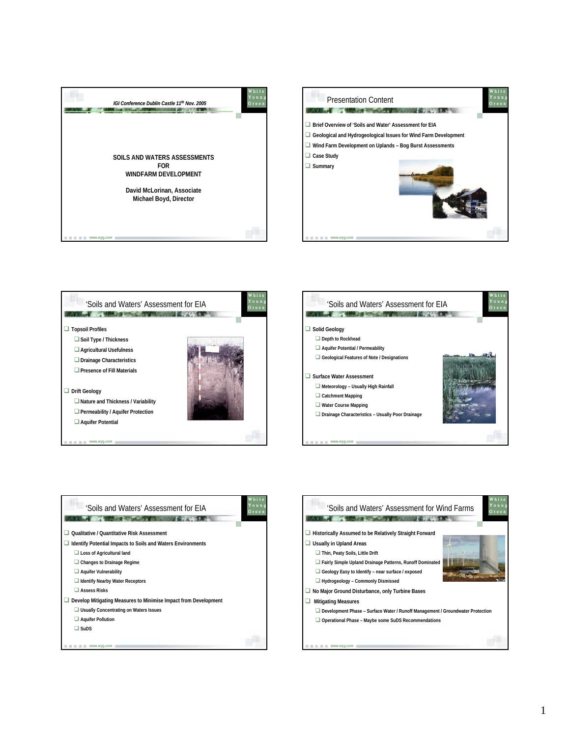









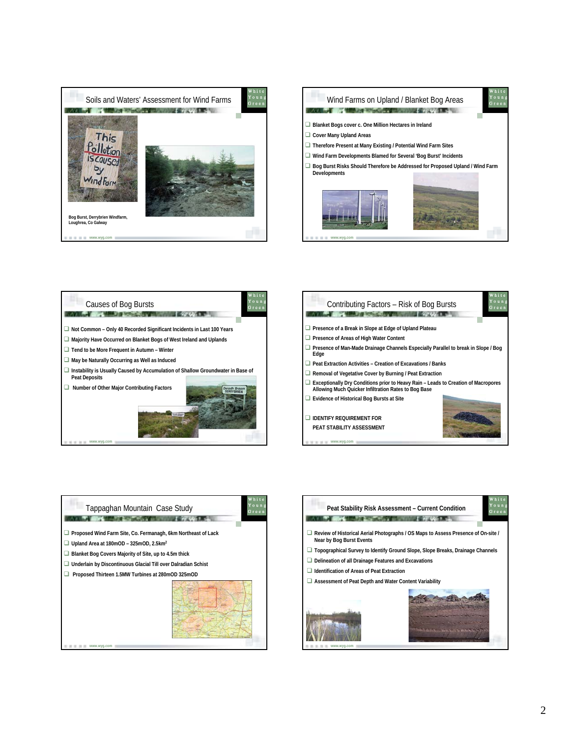